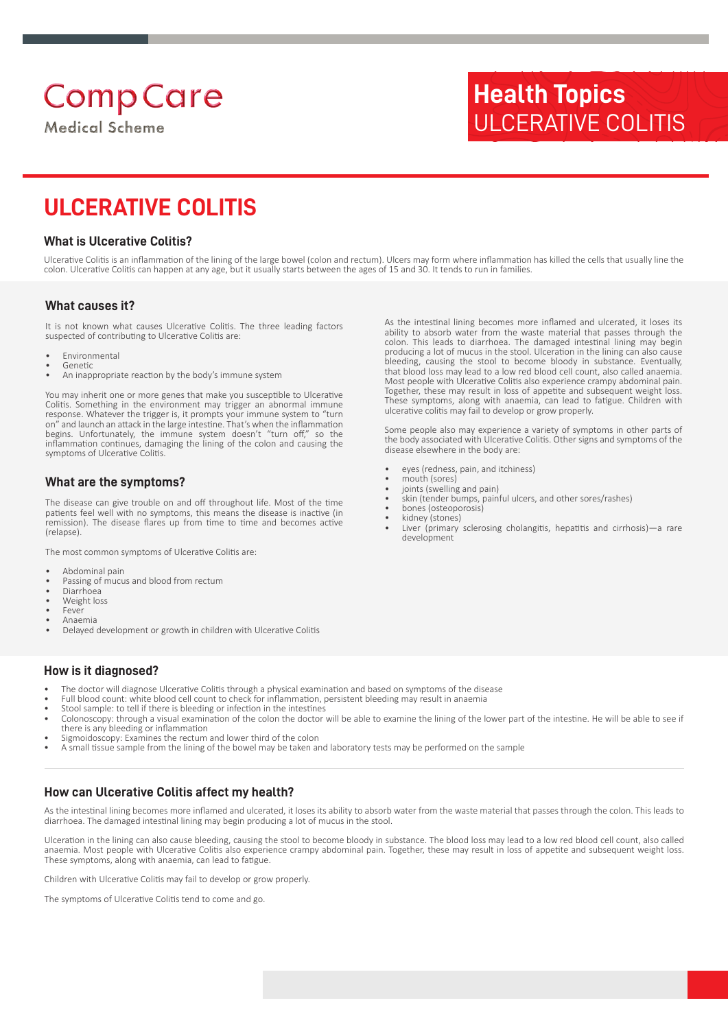# **Comp Care**

**Medical Scheme** 

## **Health Topics** ULCERATIVE COLITIS

### **ULCERATIVE COLITIS**

#### **What is Ulcerative Colitis?**

Ulcerative Colitis is an inflammation of the lining of the large bowel (colon and rectum). Ulcers may form where inflammation has killed the cells that usually line the colon. Ulcerative Colitis can happen at any age, but it usually starts between the ages of 15 and 30. It tends to run in families.

#### **What causes it?**

It is not known what causes Ulcerative Colitis. The three leading factors suspected of contributing to Ulcerative Colitis are:

- Environmental **Genetic**
- An inappropriate reaction by the body's immune system

You may inherit one or more genes that make you susceptible to Ulcerative Colitis. Something in the environment may trigger an abnormal immune response. Whatever the trigger is, it prompts your immune system to "turn on" and launch an attack in the large intestine. That's when the inflammation begins. Unfortunately, the immune system doesn't "turn off," so the inflammation continues, damaging the lining of the colon and causing the symptoms of Ulcerative Colitis.

#### **What are the symptoms?**

The disease can give trouble on and off throughout life. Most of the time patients feel well with no symptoms, this means the disease is inactive (in remission). The disease flares up from time to time and becomes active (relapse).

The most common symptoms of Ulcerative Colitis are:

- Abdominal pain
- Passing of mucus and blood from rectum
- Diarrhoea
- Weight loss
- **Fever** • Anaemia
- Delayed development or growth in children with Ulcerative Colitis

#### **How is it diagnosed?**

- The doctor will diagnose Ulcerative Colitis through a physical examination and based on symptoms of the disease
- Full blood count: white blood cell count to check for inflammation, persistent bleeding may result in anaemia
- Stool sample: to tell if there is bleeding or infection in the intestines
- Colonoscopy: through a visual examination of the colon the doctor will be able to examine the lining of the lower part of the intestine. He will be able to see if there is any bleeding or inflammation
- Sigmoidoscopy: Examines the rectum and lower third of the colon
- A small tissue sample from the lining of the bowel may be taken and laboratory tests may be performed on the sample

#### **How can Ulcerative Colitis affect my health?**

As the intestinal lining becomes more inflamed and ulcerated, it loses its ability to absorb water from the waste material that passes through the colon. This leads to diarrhoea. The damaged intestinal lining may begin producing a lot of mucus in the stool.

Ulceration in the lining can also cause bleeding, causing the stool to become bloody in substance. The blood loss may lead to a low red blood cell count, also called anaemia. Most people with Ulcerative Colitis also experience crampy abdominal pain. Together, these may result in loss of appetite and subsequent weight loss. These symptoms, along with anaemia, can lead to fatigue.

Children with Ulcerative Colitis may fail to develop or grow properly.

The symptoms of Ulcerative Colitis tend to come and go.

As the intestinal lining becomes more inflamed and ulcerated, it loses its ability to absorb water from the waste material that passes through the colon. This leads to diarrhoea. The damaged intestinal lining may begin producing a lot of mucus in the stool. Ulceration in the lining can also cause bleeding, causing the stool to become bloody in substance. Eventually, that blood loss may lead to a low red blood cell count, also called anaemia. Most people with Ulcerative Colitis also experience crampy abdominal pain. Together, these may result in loss of appetite and subsequent weight loss. These symptoms, along with anaemia, can lead to fatigue. Children with ulcerative colitis may fail to develop or grow properly.

Some people also may experience a variety of symptoms in other parts of the body associated with Ulcerative Colitis. Other signs and symptoms of the disease elsewhere in the body are:

- eyes (redness, pain, and itchiness)
- mouth (sores)
- joints (swelling and pain)
- skin (tender bumps, painful ulcers, and other sores/rashes)
- bones (osteoporosis) kidney (stones)
- Liver (primary sclerosing cholangitis, hepatitis and cirrhosis)—a rare development